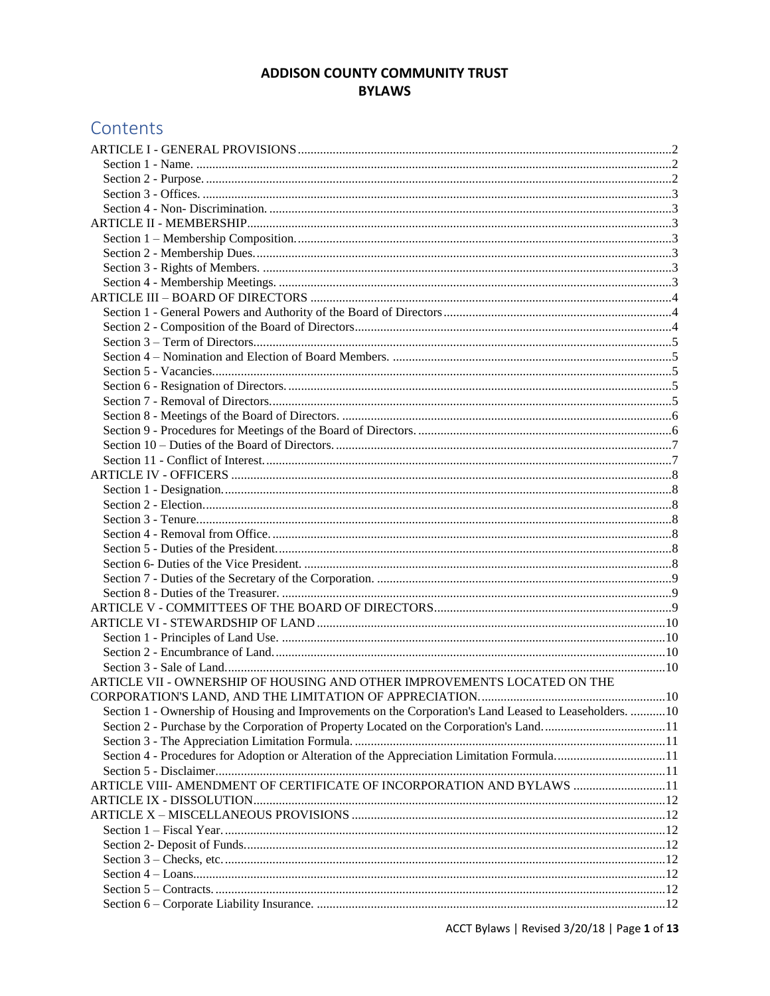# **ADDISON COUNTY COMMUNITY TRUST BYLAWS**

# Contents

| ARTICLE VII - OWNERSHIP OF HOUSING AND OTHER IMPROVEMENTS LOCATED ON THE                               |  |
|--------------------------------------------------------------------------------------------------------|--|
|                                                                                                        |  |
| Section 1 - Ownership of Housing and Improvements on the Corporation's Land Leased to Leaseholders. 10 |  |
|                                                                                                        |  |
|                                                                                                        |  |
| Section 4 - Procedures for Adoption or Alteration of the Appreciation Limitation Formula11             |  |
|                                                                                                        |  |
| ARTICLE VIII- AMENDMENT OF CERTIFICATE OF INCORPORATION AND BYLAWS 11                                  |  |
|                                                                                                        |  |
|                                                                                                        |  |
|                                                                                                        |  |
|                                                                                                        |  |
|                                                                                                        |  |
|                                                                                                        |  |
|                                                                                                        |  |
|                                                                                                        |  |
|                                                                                                        |  |

ACCT Bylaws | Revised 3/20/18 | Page 1 of 13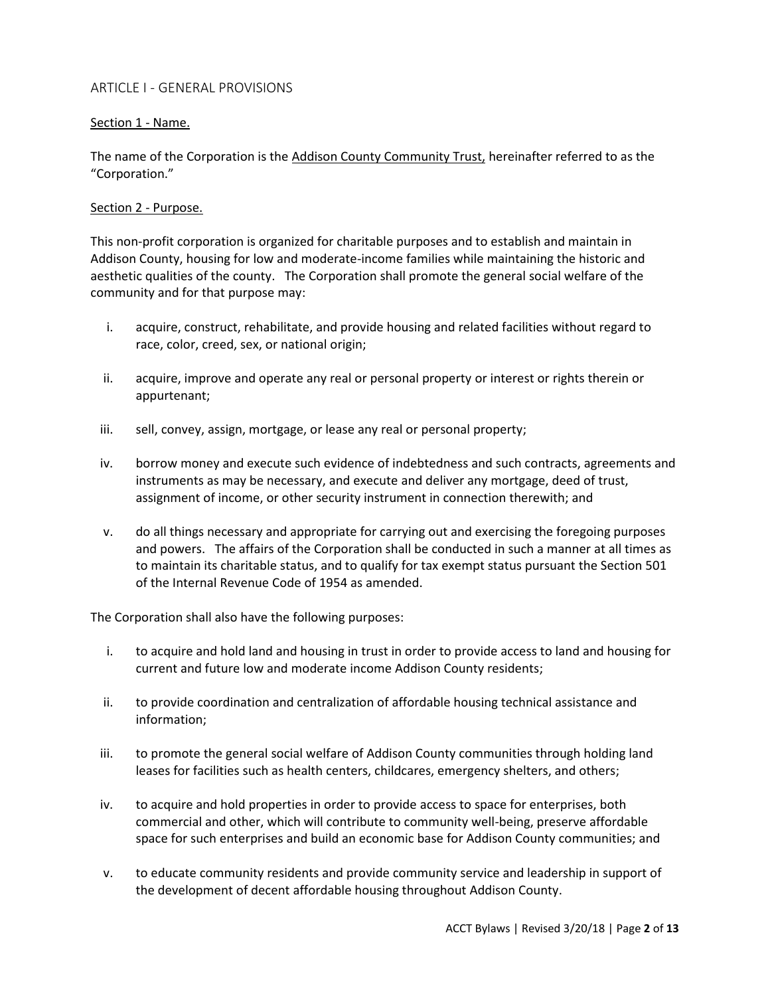# <span id="page-1-0"></span>ARTICLE I - GENERAL PROVISIONS

# <span id="page-1-1"></span>Section 1 - Name.

The name of the Corporation is the Addison County Community Trust, hereinafter referred to as the "Corporation."

# <span id="page-1-2"></span>Section 2 - Purpose.

This non-profit corporation is organized for charitable purposes and to establish and maintain in Addison County, housing for low and moderate-income families while maintaining the historic and aesthetic qualities of the county. The Corporation shall promote the general social welfare of the community and for that purpose may:

- i. acquire, construct, rehabilitate, and provide housing and related facilities without regard to race, color, creed, sex, or national origin;
- ii. acquire, improve and operate any real or personal property or interest or rights therein or appurtenant;
- iii. sell, convey, assign, mortgage, or lease any real or personal property;
- iv. borrow money and execute such evidence of indebtedness and such contracts, agreements and instruments as may be necessary, and execute and deliver any mortgage, deed of trust, assignment of income, or other security instrument in connection therewith; and
- v. do all things necessary and appropriate for carrying out and exercising the foregoing purposes and powers. The affairs of the Corporation shall be conducted in such a manner at all times as to maintain its charitable status, and to qualify for tax exempt status pursuant the Section 501 of the Internal Revenue Code of 1954 as amended.

The Corporation shall also have the following purposes:

- i. to acquire and hold land and housing in trust in order to provide access to land and housing for current and future low and moderate income Addison County residents;
- ii. to provide coordination and centralization of affordable housing technical assistance and information;
- iii. to promote the general social welfare of Addison County communities through holding land leases for facilities such as health centers, childcares, emergency shelters, and others;
- iv. to acquire and hold properties in order to provide access to space for enterprises, both commercial and other, which will contribute to community well-being, preserve affordable space for such enterprises and build an economic base for Addison County communities; and
- v. to educate community residents and provide community service and leadership in support of the development of decent affordable housing throughout Addison County.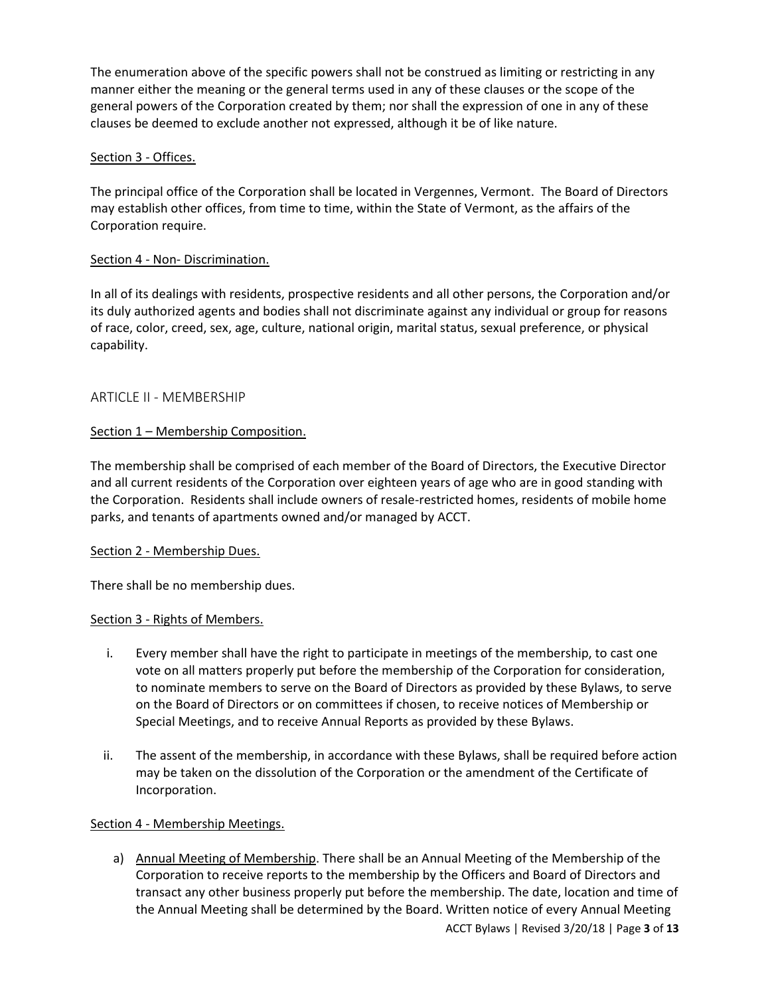The enumeration above of the specific powers shall not be construed as limiting or restricting in any manner either the meaning or the general terms used in any of these clauses or the scope of the general powers of the Corporation created by them; nor shall the expression of one in any of these clauses be deemed to exclude another not expressed, although it be of like nature.

# <span id="page-2-0"></span>Section 3 - Offices.

The principal office of the Corporation shall be located in Vergennes, Vermont. The Board of Directors may establish other offices, from time to time, within the State of Vermont, as the affairs of the Corporation require.

# <span id="page-2-1"></span>Section 4 - Non- Discrimination.

In all of its dealings with residents, prospective residents and all other persons, the Corporation and/or its duly authorized agents and bodies shall not discriminate against any individual or group for reasons of race, color, creed, sex, age, culture, national origin, marital status, sexual preference, or physical capability.

# <span id="page-2-2"></span>ARTICLE II - MEMBERSHIP

# <span id="page-2-3"></span>Section 1 – Membership Composition.

The membership shall be comprised of each member of the Board of Directors, the Executive Director and all current residents of the Corporation over eighteen years of age who are in good standing with the Corporation. Residents shall include owners of resale-restricted homes, residents of mobile home parks, and tenants of apartments owned and/or managed by ACCT.

# <span id="page-2-4"></span>Section 2 - Membership Dues.

There shall be no membership dues.

# <span id="page-2-5"></span>Section 3 - Rights of Members.

- i. Every member shall have the right to participate in meetings of the membership, to cast one vote on all matters properly put before the membership of the Corporation for consideration, to nominate members to serve on the Board of Directors as provided by these Bylaws, to serve on the Board of Directors or on committees if chosen, to receive notices of Membership or Special Meetings, and to receive Annual Reports as provided by these Bylaws.
- ii. The assent of the membership, in accordance with these Bylaws, shall be required before action may be taken on the dissolution of the Corporation or the amendment of the Certificate of Incorporation.

# <span id="page-2-6"></span>Section 4 - Membership Meetings.

a) Annual Meeting of Membership. There shall be an Annual Meeting of the Membership of the Corporation to receive reports to the membership by the Officers and Board of Directors and transact any other business properly put before the membership. The date, location and time of the Annual Meeting shall be determined by the Board. Written notice of every Annual Meeting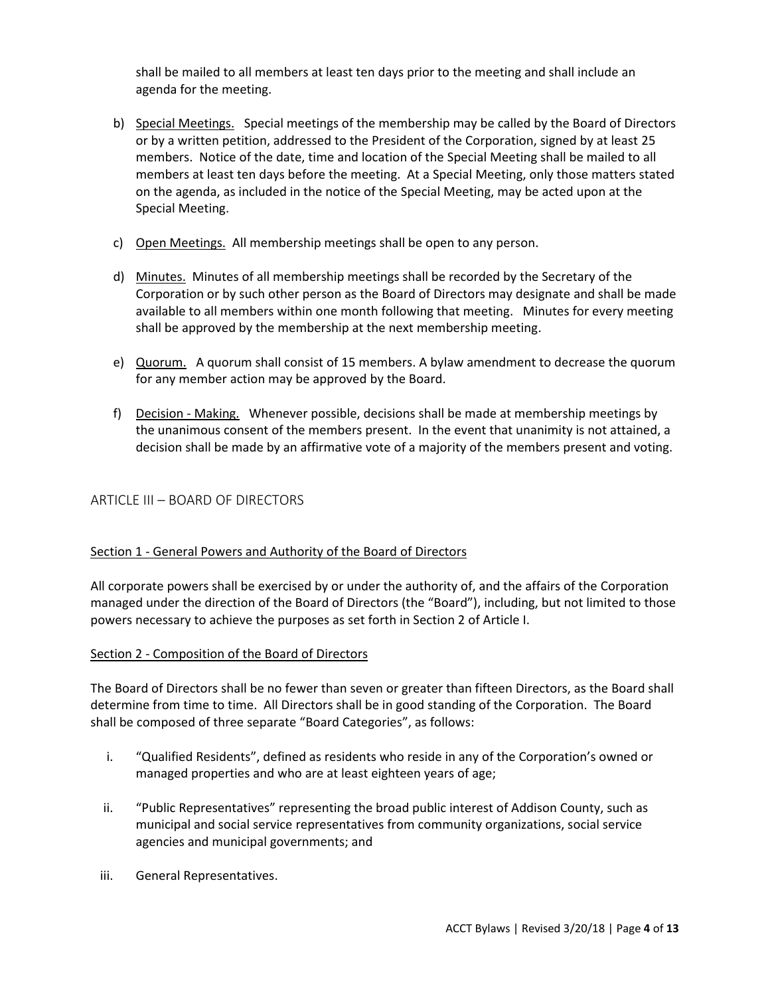shall be mailed to all members at least ten days prior to the meeting and shall include an agenda for the meeting.

- b) Special Meetings. Special meetings of the membership may be called by the Board of Directors or by a written petition, addressed to the President of the Corporation, signed by at least 25 members. Notice of the date, time and location of the Special Meeting shall be mailed to all members at least ten days before the meeting. At a Special Meeting, only those matters stated on the agenda, as included in the notice of the Special Meeting, may be acted upon at the Special Meeting.
- c) Open Meetings. All membership meetings shall be open to any person.
- d) Minutes. Minutes of all membership meetings shall be recorded by the Secretary of the Corporation or by such other person as the Board of Directors may designate and shall be made available to all members within one month following that meeting. Minutes for every meeting shall be approved by the membership at the next membership meeting.
- e) Quorum. A quorum shall consist of 15 members. A bylaw amendment to decrease the quorum for any member action may be approved by the Board.
- f) Decision Making. Whenever possible, decisions shall be made at membership meetings by the unanimous consent of the members present. In the event that unanimity is not attained, a decision shall be made by an affirmative vote of a majority of the members present and voting.

# <span id="page-3-0"></span>ARTICLE III – BOARD OF DIRECTORS

# <span id="page-3-1"></span>Section 1 - General Powers and Authority of the Board of Directors

All corporate powers shall be exercised by or under the authority of, and the affairs of the Corporation managed under the direction of the Board of Directors (the "Board"), including, but not limited to those powers necessary to achieve the purposes as set forth in Section 2 of Article I.

#### <span id="page-3-2"></span>Section 2 - Composition of the Board of Directors

The Board of Directors shall be no fewer than seven or greater than fifteen Directors, as the Board shall determine from time to time. All Directors shall be in good standing of the Corporation. The Board shall be composed of three separate "Board Categories", as follows:

- i. "Qualified Residents", defined as residents who reside in any of the Corporation's owned or managed properties and who are at least eighteen years of age;
- ii. "Public Representatives" representing the broad public interest of Addison County, such as municipal and social service representatives from community organizations, social service agencies and municipal governments; and
- iii. General Representatives.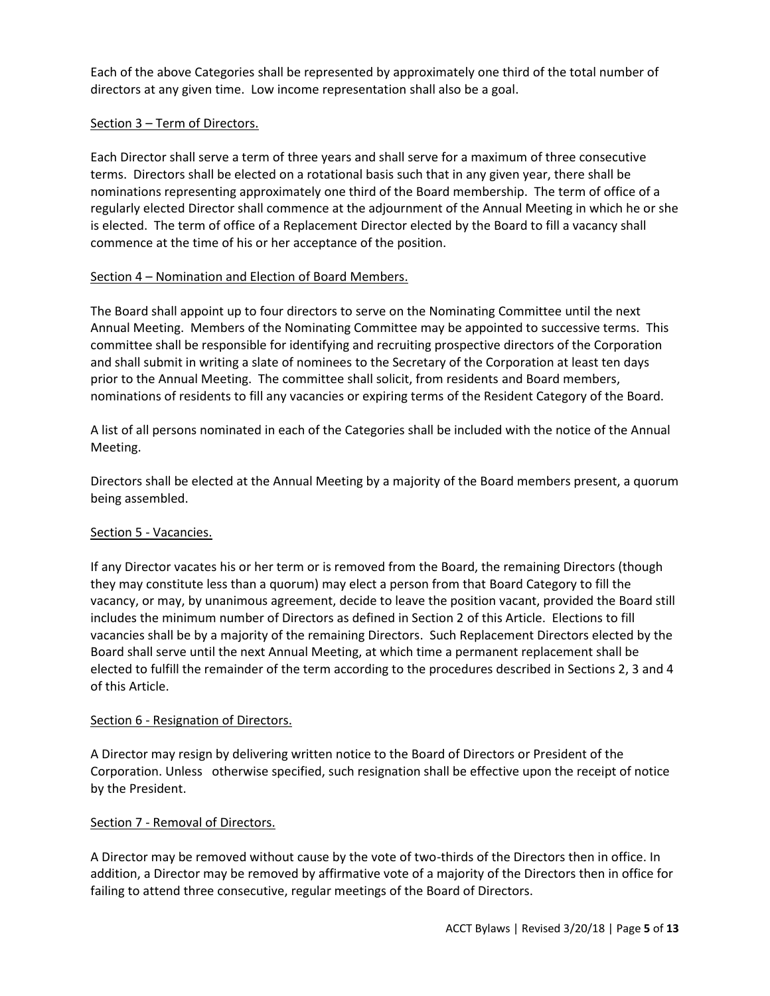Each of the above Categories shall be represented by approximately one third of the total number of directors at any given time. Low income representation shall also be a goal.

# <span id="page-4-0"></span>Section 3 – Term of Directors.

Each Director shall serve a term of three years and shall serve for a maximum of three consecutive terms. Directors shall be elected on a rotational basis such that in any given year, there shall be nominations representing approximately one third of the Board membership. The term of office of a regularly elected Director shall commence at the adjournment of the Annual Meeting in which he or she is elected. The term of office of a Replacement Director elected by the Board to fill a vacancy shall commence at the time of his or her acceptance of the position.

# <span id="page-4-1"></span>Section 4 – Nomination and Election of Board Members.

The Board shall appoint up to four directors to serve on the Nominating Committee until the next Annual Meeting. Members of the Nominating Committee may be appointed to successive terms. This committee shall be responsible for identifying and recruiting prospective directors of the Corporation and shall submit in writing a slate of nominees to the Secretary of the Corporation at least ten days prior to the Annual Meeting. The committee shall solicit, from residents and Board members, nominations of residents to fill any vacancies or expiring terms of the Resident Category of the Board.

A list of all persons nominated in each of the Categories shall be included with the notice of the Annual Meeting.

Directors shall be elected at the Annual Meeting by a majority of the Board members present, a quorum being assembled.

# <span id="page-4-2"></span>Section 5 - Vacancies.

If any Director vacates his or her term or is removed from the Board, the remaining Directors (though they may constitute less than a quorum) may elect a person from that Board Category to fill the vacancy, or may, by unanimous agreement, decide to leave the position vacant, provided the Board still includes the minimum number of Directors as defined in Section 2 of this Article. Elections to fill vacancies shall be by a majority of the remaining Directors. Such Replacement Directors elected by the Board shall serve until the next Annual Meeting, at which time a permanent replacement shall be elected to fulfill the remainder of the term according to the procedures described in Sections 2, 3 and 4 of this Article.

# <span id="page-4-3"></span>Section 6 - Resignation of Directors.

A Director may resign by delivering written notice to the Board of Directors or President of the Corporation. Unless otherwise specified, such resignation shall be effective upon the receipt of notice by the President.

# <span id="page-4-4"></span>Section 7 - Removal of Directors.

A Director may be removed without cause by the vote of two-thirds of the Directors then in office. In addition, a Director may be removed by affirmative vote of a majority of the Directors then in office for failing to attend three consecutive, regular meetings of the Board of Directors.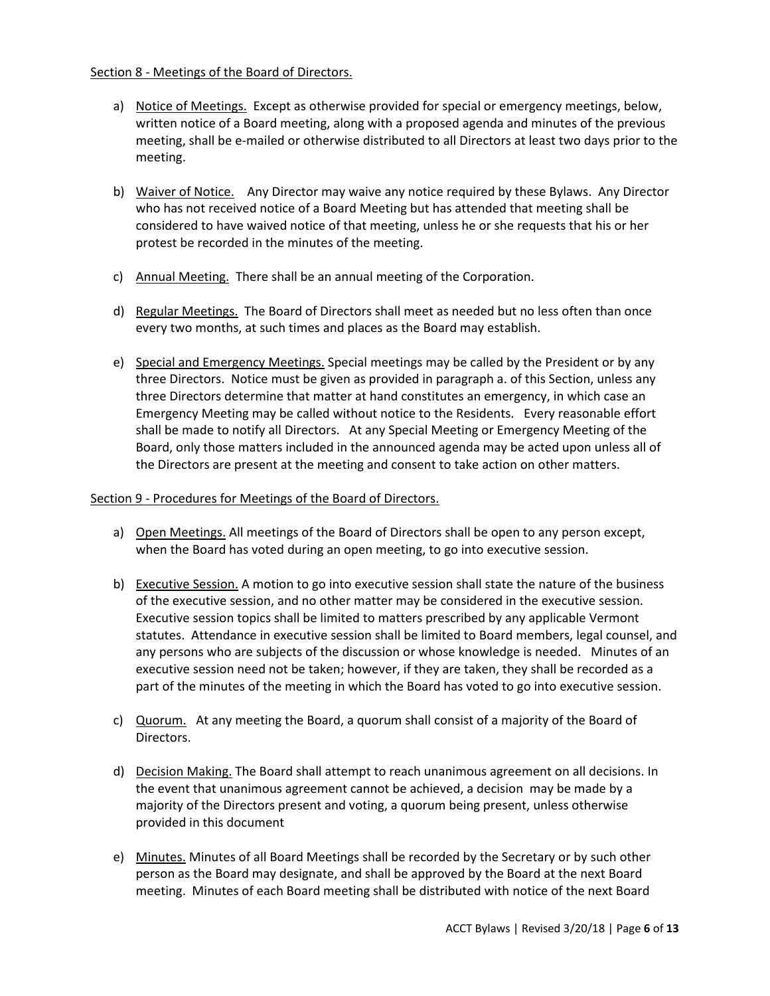# <span id="page-5-0"></span>Section 8 - Meetings of the Board of Directors.

- a) Notice of Meetings. Except as otherwise provided for special or emergency meetings, below, written notice of a Board meeting, along with a proposed agenda and minutes of the previous meeting, shall be e-mailed or otherwise distributed to all Directors at least two days prior to the meeting.
- b) Waiver of Notice. Any Director may waive any notice required by these Bylaws. Any Director who has not received notice of a Board Meeting but has attended that meeting shall be considered to have waived notice of that meeting, unless he or she requests that his or her protest be recorded in the minutes of the meeting.
- c) Annual Meeting. There shall be an annual meeting of the Corporation.
- d) Regular Meetings. The Board of Directors shall meet as needed but no less often than once every two months, at such times and places as the Board may establish.
- e) Special and Emergency Meetings. Special meetings may be called by the President or by any three Directors. Notice must be given as provided in paragraph a. of this Section, unless any three Directors determine that matter at hand constitutes an emergency, in which case an Emergency Meeting may be called without notice to the Residents. Every reasonable effort shall be made to notify all Directors. At any Special Meeting or Emergency Meeting of the Board, only those matters included in the announced agenda may be acted upon unless all of the Directors are present at the meeting and consent to take action on other matters.

# <span id="page-5-1"></span>Section 9 - Procedures for Meetings of the Board of Directors.

- a) Open Meetings. All meetings of the Board of Directors shall be open to any person except, when the Board has voted during an open meeting, to go into executive session.
- b) Executive Session. A motion to go into executive session shall state the nature of the business of the executive session, and no other matter may be considered in the executive session. Executive session topics shall be limited to matters prescribed by any applicable Vermont statutes. Attendance in executive session shall be limited to Board members, legal counsel, and any persons who are subjects of the discussion or whose knowledge is needed. Minutes of an executive session need not be taken; however, if they are taken, they shall be recorded as a part of the minutes of the meeting in which the Board has voted to go into executive session.
- c) Quorum. At any meeting the Board, a quorum shall consist of a majority of the Board of Directors.
- d) Decision Making. The Board shall attempt to reach unanimous agreement on all decisions. In the event that unanimous agreement cannot be achieved, a decision may be made by a majority of the Directors present and voting, a quorum being present, unless otherwise provided in this document
- e) Minutes. Minutes of all Board Meetings shall be recorded by the Secretary or by such other person as the Board may designate, and shall be approved by the Board at the next Board meeting. Minutes of each Board meeting shall be distributed with notice of the next Board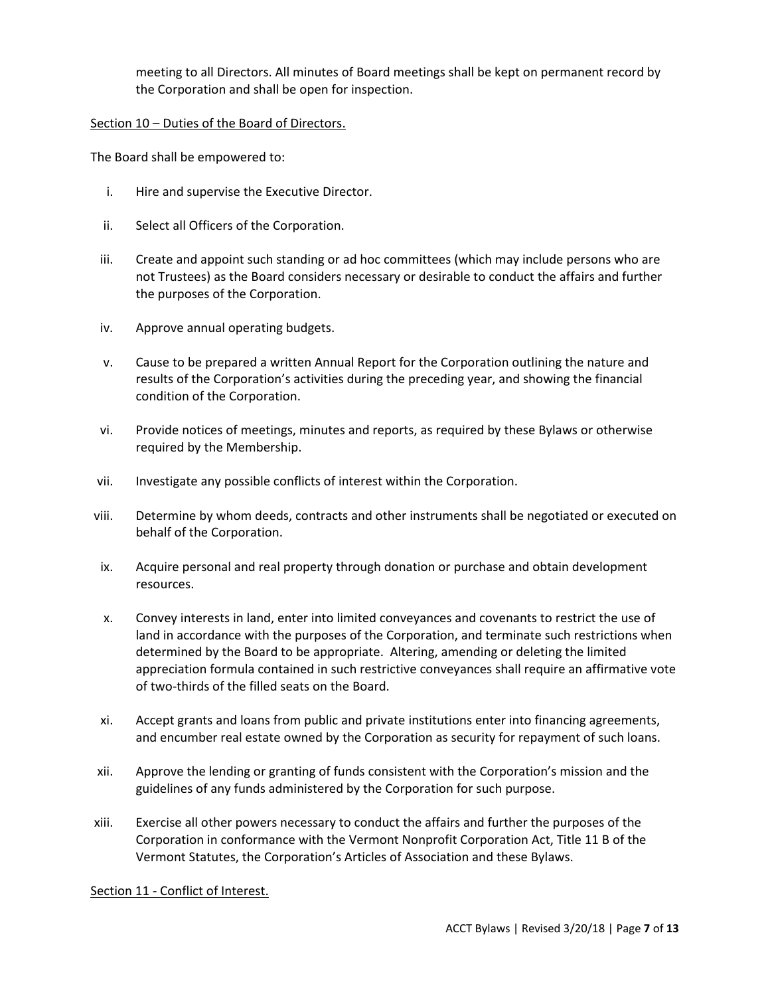meeting to all Directors. All minutes of Board meetings shall be kept on permanent record by the Corporation and shall be open for inspection.

# <span id="page-6-0"></span>Section 10 – Duties of the Board of Directors.

The Board shall be empowered to:

- i. Hire and supervise the Executive Director.
- ii. Select all Officers of the Corporation.
- iii. Create and appoint such standing or ad hoc committees (which may include persons who are not Trustees) as the Board considers necessary or desirable to conduct the affairs and further the purposes of the Corporation.
- iv. Approve annual operating budgets.
- v. Cause to be prepared a written Annual Report for the Corporation outlining the nature and results of the Corporation's activities during the preceding year, and showing the financial condition of the Corporation.
- vi. Provide notices of meetings, minutes and reports, as required by these Bylaws or otherwise required by the Membership.
- vii. Investigate any possible conflicts of interest within the Corporation.
- viii. Determine by whom deeds, contracts and other instruments shall be negotiated or executed on behalf of the Corporation.
- ix. Acquire personal and real property through donation or purchase and obtain development resources.
- x. Convey interests in land, enter into limited conveyances and covenants to restrict the use of land in accordance with the purposes of the Corporation, and terminate such restrictions when determined by the Board to be appropriate. Altering, amending or deleting the limited appreciation formula contained in such restrictive conveyances shall require an affirmative vote of two-thirds of the filled seats on the Board.
- xi. Accept grants and loans from public and private institutions enter into financing agreements, and encumber real estate owned by the Corporation as security for repayment of such loans.
- xii. Approve the lending or granting of funds consistent with the Corporation's mission and the guidelines of any funds administered by the Corporation for such purpose.
- xiii. Exercise all other powers necessary to conduct the affairs and further the purposes of the Corporation in conformance with the Vermont Nonprofit Corporation Act, Title 11 B of the Vermont Statutes, the Corporation's Articles of Association and these Bylaws.

# <span id="page-6-1"></span>Section 11 - Conflict of Interest.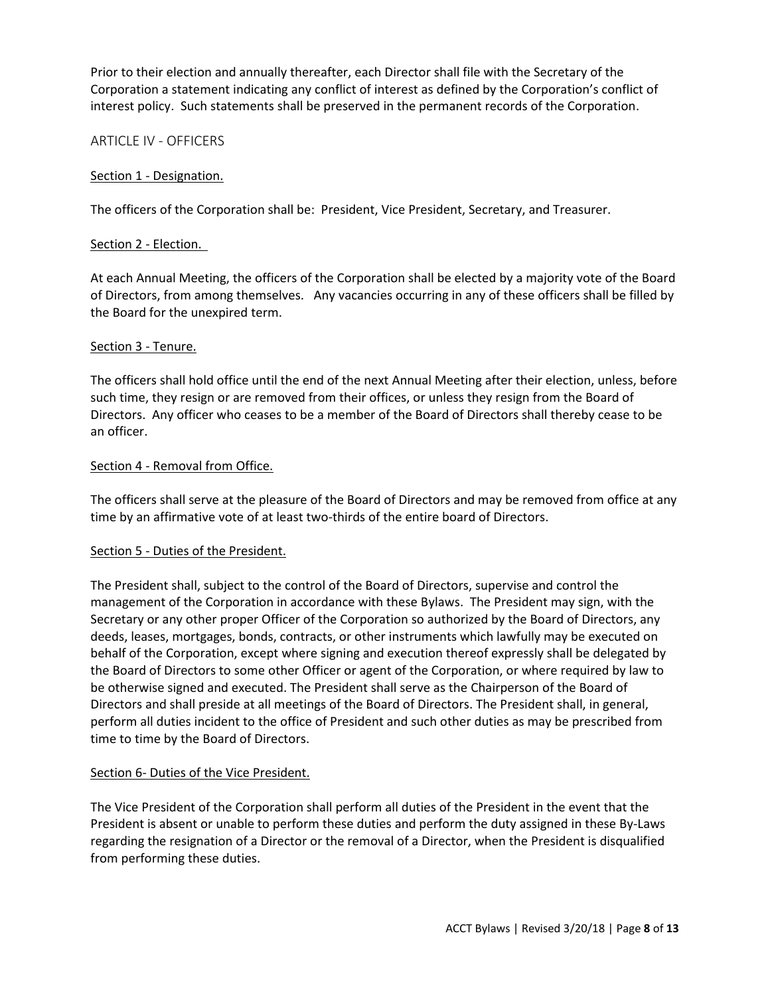Prior to their election and annually thereafter, each Director shall file with the Secretary of the Corporation a statement indicating any conflict of interest as defined by the Corporation's conflict of interest policy. Such statements shall be preserved in the permanent records of the Corporation.

# <span id="page-7-0"></span>ARTICLE IV - OFFICERS

# <span id="page-7-1"></span>Section 1 - Designation.

The officers of the Corporation shall be: President, Vice President, Secretary, and Treasurer.

#### <span id="page-7-2"></span>Section 2 - Election.

At each Annual Meeting, the officers of the Corporation shall be elected by a majority vote of the Board of Directors, from among themselves. Any vacancies occurring in any of these officers shall be filled by the Board for the unexpired term.

#### <span id="page-7-3"></span>Section 3 - Tenure.

The officers shall hold office until the end of the next Annual Meeting after their election, unless, before such time, they resign or are removed from their offices, or unless they resign from the Board of Directors. Any officer who ceases to be a member of the Board of Directors shall thereby cease to be an officer.

#### <span id="page-7-4"></span>Section 4 - Removal from Office.

The officers shall serve at the pleasure of the Board of Directors and may be removed from office at any time by an affirmative vote of at least two-thirds of the entire board of Directors.

#### <span id="page-7-5"></span>Section 5 - Duties of the President.

The President shall, subject to the control of the Board of Directors, supervise and control the management of the Corporation in accordance with these Bylaws. The President may sign, with the Secretary or any other proper Officer of the Corporation so authorized by the Board of Directors, any deeds, leases, mortgages, bonds, contracts, or other instruments which lawfully may be executed on behalf of the Corporation, except where signing and execution thereof expressly shall be delegated by the Board of Directors to some other Officer or agent of the Corporation, or where required by law to be otherwise signed and executed. The President shall serve as the Chairperson of the Board of Directors and shall preside at all meetings of the Board of Directors. The President shall, in general, perform all duties incident to the office of President and such other duties as may be prescribed from time to time by the Board of Directors.

# <span id="page-7-6"></span>Section 6- Duties of the Vice President.

The Vice President of the Corporation shall perform all duties of the President in the event that the President is absent or unable to perform these duties and perform the duty assigned in these By-Laws regarding the resignation of a Director or the removal of a Director, when the President is disqualified from performing these duties.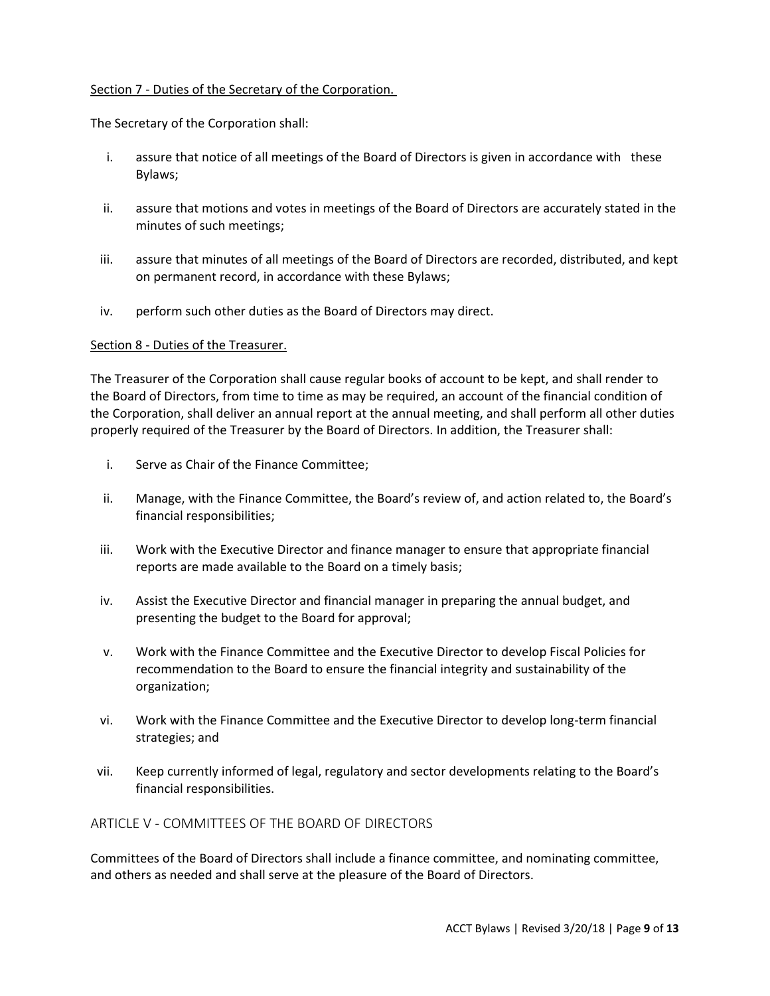# <span id="page-8-0"></span>Section 7 - Duties of the Secretary of the Corporation.

The Secretary of the Corporation shall:

- i. assure that notice of all meetings of the Board of Directors is given in accordance with these Bylaws;
- ii. assure that motions and votes in meetings of the Board of Directors are accurately stated in the minutes of such meetings;
- iii. assure that minutes of all meetings of the Board of Directors are recorded, distributed, and kept on permanent record, in accordance with these Bylaws;
- iv. perform such other duties as the Board of Directors may direct.

# <span id="page-8-1"></span>Section 8 - Duties of the Treasurer.

The Treasurer of the Corporation shall cause regular books of account to be kept, and shall render to the Board of Directors, from time to time as may be required, an account of the financial condition of the Corporation, shall deliver an annual report at the annual meeting, and shall perform all other duties properly required of the Treasurer by the Board of Directors. In addition, the Treasurer shall:

- i. Serve as Chair of the Finance Committee;
- ii. Manage, with the Finance Committee, the Board's review of, and action related to, the Board's financial responsibilities;
- iii. Work with the Executive Director and finance manager to ensure that appropriate financial reports are made available to the Board on a timely basis;
- iv. Assist the Executive Director and financial manager in preparing the annual budget, and presenting the budget to the Board for approval;
- v. Work with the Finance Committee and the Executive Director to develop Fiscal Policies for recommendation to the Board to ensure the financial integrity and sustainability of the organization;
- vi. Work with the Finance Committee and the Executive Director to develop long-term financial strategies; and
- vii. Keep currently informed of legal, regulatory and sector developments relating to the Board's financial responsibilities.

<span id="page-8-2"></span>ARTICLE V - COMMITTEES OF THE BOARD OF DIRECTORS

Committees of the Board of Directors shall include a finance committee, and nominating committee, and others as needed and shall serve at the pleasure of the Board of Directors.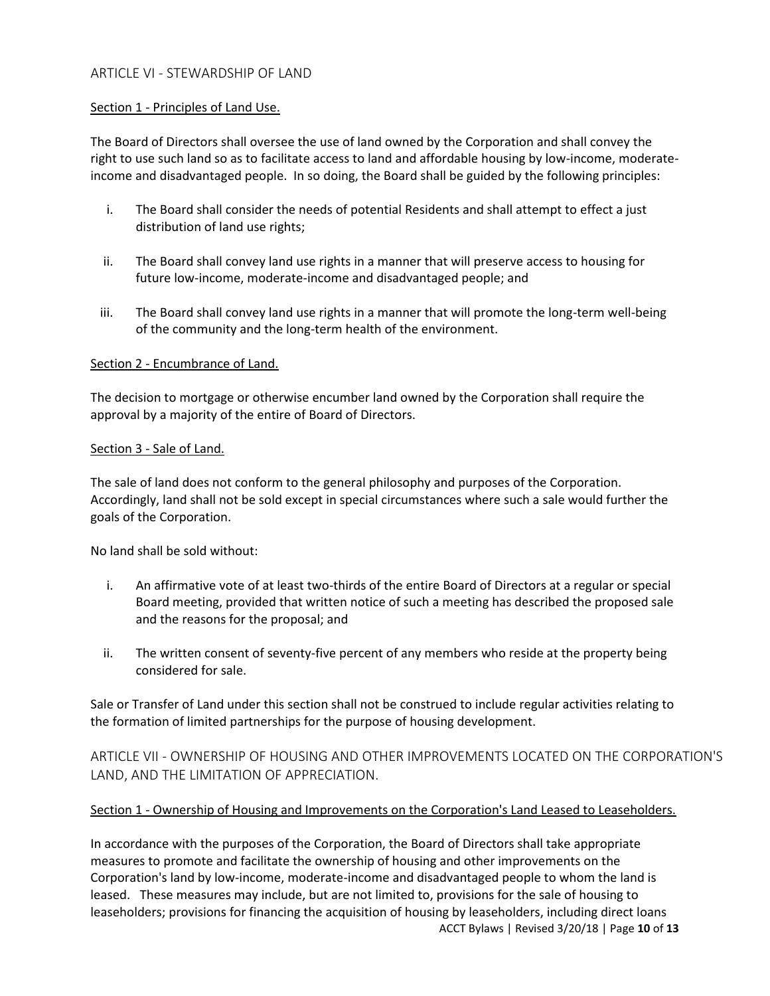# <span id="page-9-0"></span>ARTICLE VI - STEWARDSHIP OF LAND

#### <span id="page-9-1"></span>Section 1 - Principles of Land Use.

The Board of Directors shall oversee the use of land owned by the Corporation and shall convey the right to use such land so as to facilitate access to land and affordable housing by low-income, moderateincome and disadvantaged people. In so doing, the Board shall be guided by the following principles:

- i. The Board shall consider the needs of potential Residents and shall attempt to effect a just distribution of land use rights;
- ii. The Board shall convey land use rights in a manner that will preserve access to housing for future low-income, moderate-income and disadvantaged people; and
- iii. The Board shall convey land use rights in a manner that will promote the long-term well-being of the community and the long-term health of the environment.

#### <span id="page-9-2"></span>Section 2 - Encumbrance of Land.

The decision to mortgage or otherwise encumber land owned by the Corporation shall require the approval by a majority of the entire of Board of Directors.

#### <span id="page-9-3"></span>Section 3 - Sale of Land.

The sale of land does not conform to the general philosophy and purposes of the Corporation. Accordingly, land shall not be sold except in special circumstances where such a sale would further the goals of the Corporation.

No land shall be sold without:

- i. An affirmative vote of at least two-thirds of the entire Board of Directors at a regular or special Board meeting, provided that written notice of such a meeting has described the proposed sale and the reasons for the proposal; and
- ii. The written consent of seventy-five percent of any members who reside at the property being considered for sale.

Sale or Transfer of Land under this section shall not be construed to include regular activities relating to the formation of limited partnerships for the purpose of housing development.

<span id="page-9-4"></span>ARTICLE VII - OWNERSHIP OF HOUSING AND OTHER IMPROVEMENTS LOCATED ON THE CORPORATION'S LAND, AND THE LIMITATION OF APPRECIATION.

# <span id="page-9-5"></span>Section 1 - Ownership of Housing and Improvements on the Corporation's Land Leased to Leaseholders.

ACCT Bylaws | Revised 3/20/18 | Page **10** of **13** In accordance with the purposes of the Corporation, the Board of Directors shall take appropriate measures to promote and facilitate the ownership of housing and other improvements on the Corporation's land by low-income, moderate-income and disadvantaged people to whom the land is leased. These measures may include, but are not limited to, provisions for the sale of housing to leaseholders; provisions for financing the acquisition of housing by leaseholders, including direct loans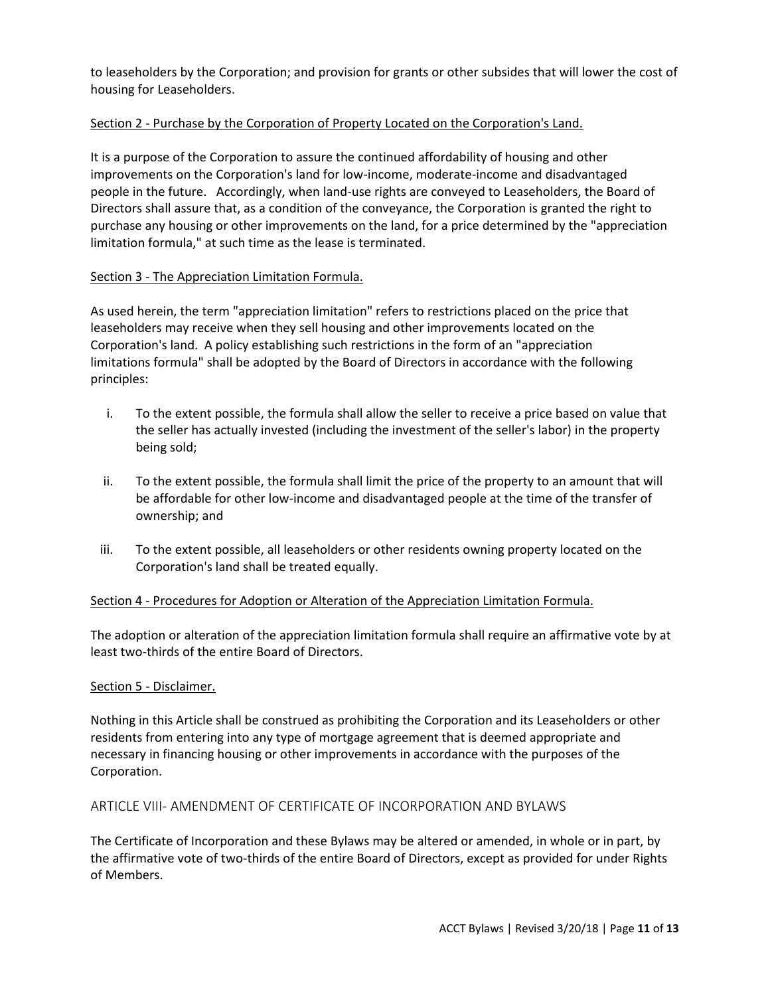to leaseholders by the Corporation; and provision for grants or other subsides that will lower the cost of housing for Leaseholders.

# <span id="page-10-0"></span>Section 2 - Purchase by the Corporation of Property Located on the Corporation's Land.

It is a purpose of the Corporation to assure the continued affordability of housing and other improvements on the Corporation's land for low-income, moderate-income and disadvantaged people in the future. Accordingly, when land-use rights are conveyed to Leaseholders, the Board of Directors shall assure that, as a condition of the conveyance, the Corporation is granted the right to purchase any housing or other improvements on the land, for a price determined by the "appreciation limitation formula," at such time as the lease is terminated.

# <span id="page-10-1"></span>Section 3 - The Appreciation Limitation Formula.

As used herein, the term "appreciation limitation" refers to restrictions placed on the price that leaseholders may receive when they sell housing and other improvements located on the Corporation's land. A policy establishing such restrictions in the form of an "appreciation limitations formula" shall be adopted by the Board of Directors in accordance with the following principles:

- i. To the extent possible, the formula shall allow the seller to receive a price based on value that the seller has actually invested (including the investment of the seller's labor) in the property being sold;
- ii. To the extent possible, the formula shall limit the price of the property to an amount that will be affordable for other low-income and disadvantaged people at the time of the transfer of ownership; and
- iii. To the extent possible, all leaseholders or other residents owning property located on the Corporation's land shall be treated equally.

# <span id="page-10-2"></span>Section 4 - Procedures for Adoption or Alteration of the Appreciation Limitation Formula.

The adoption or alteration of the appreciation limitation formula shall require an affirmative vote by at least two-thirds of the entire Board of Directors.

# <span id="page-10-3"></span>Section 5 - Disclaimer.

Nothing in this Article shall be construed as prohibiting the Corporation and its Leaseholders or other residents from entering into any type of mortgage agreement that is deemed appropriate and necessary in financing housing or other improvements in accordance with the purposes of the Corporation.

# <span id="page-10-4"></span>ARTICLE VIII- AMENDMENT OF CERTIFICATE OF INCORPORATION AND BYLAWS

The Certificate of Incorporation and these Bylaws may be altered or amended, in whole or in part, by the affirmative vote of two-thirds of the entire Board of Directors, except as provided for under Rights of Members.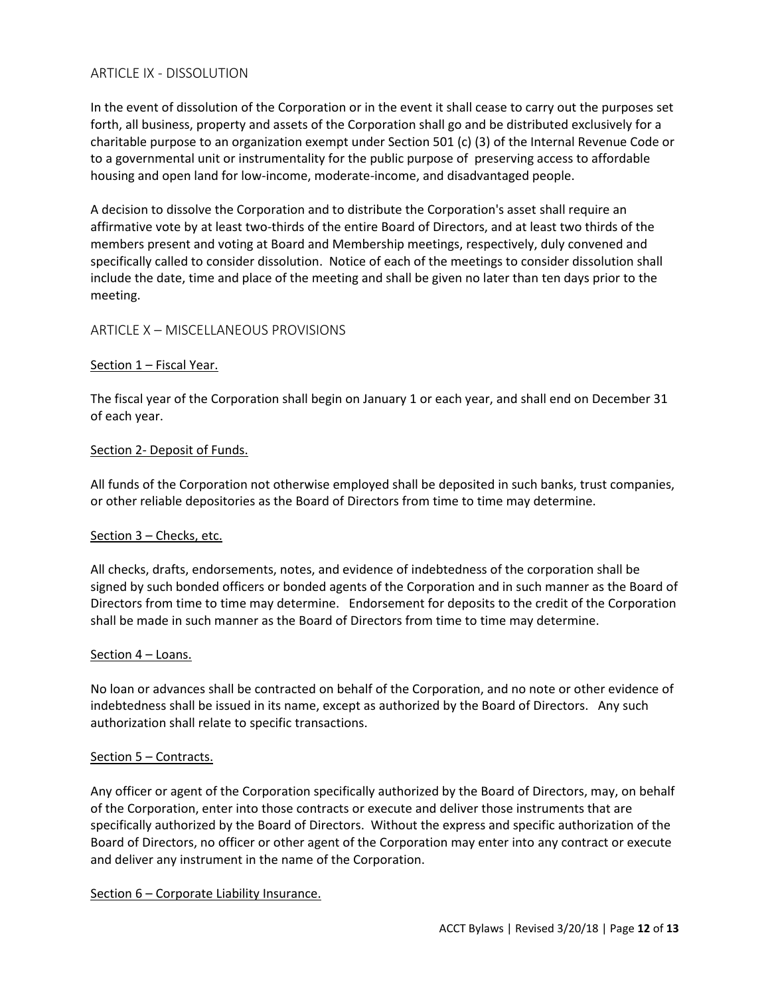# <span id="page-11-0"></span>ARTICLE IX - DISSOLUTION

In the event of dissolution of the Corporation or in the event it shall cease to carry out the purposes set forth, all business, property and assets of the Corporation shall go and be distributed exclusively for a charitable purpose to an organization exempt under Section 501 (c) (3) of the Internal Revenue Code or to a governmental unit or instrumentality for the public purpose of preserving access to affordable housing and open land for low-income, moderate-income, and disadvantaged people.

A decision to dissolve the Corporation and to distribute the Corporation's asset shall require an affirmative vote by at least two-thirds of the entire Board of Directors, and at least two thirds of the members present and voting at Board and Membership meetings, respectively, duly convened and specifically called to consider dissolution. Notice of each of the meetings to consider dissolution shall include the date, time and place of the meeting and shall be given no later than ten days prior to the meeting.

#### <span id="page-11-1"></span>ARTICLE X – MISCELLANEOUS PROVISIONS

#### <span id="page-11-2"></span>Section 1 – Fiscal Year.

The fiscal year of the Corporation shall begin on January 1 or each year, and shall end on December 31 of each year.

#### <span id="page-11-3"></span>Section 2- Deposit of Funds.

All funds of the Corporation not otherwise employed shall be deposited in such banks, trust companies, or other reliable depositories as the Board of Directors from time to time may determine.

#### <span id="page-11-4"></span>Section 3 – Checks, etc.

All checks, drafts, endorsements, notes, and evidence of indebtedness of the corporation shall be signed by such bonded officers or bonded agents of the Corporation and in such manner as the Board of Directors from time to time may determine. Endorsement for deposits to the credit of the Corporation shall be made in such manner as the Board of Directors from time to time may determine.

#### <span id="page-11-5"></span>Section 4 – Loans.

No loan or advances shall be contracted on behalf of the Corporation, and no note or other evidence of indebtedness shall be issued in its name, except as authorized by the Board of Directors. Any such authorization shall relate to specific transactions.

#### <span id="page-11-6"></span>Section 5 – Contracts.

Any officer or agent of the Corporation specifically authorized by the Board of Directors, may, on behalf of the Corporation, enter into those contracts or execute and deliver those instruments that are specifically authorized by the Board of Directors. Without the express and specific authorization of the Board of Directors, no officer or other agent of the Corporation may enter into any contract or execute and deliver any instrument in the name of the Corporation.

#### <span id="page-11-7"></span>Section 6 – Corporate Liability Insurance.